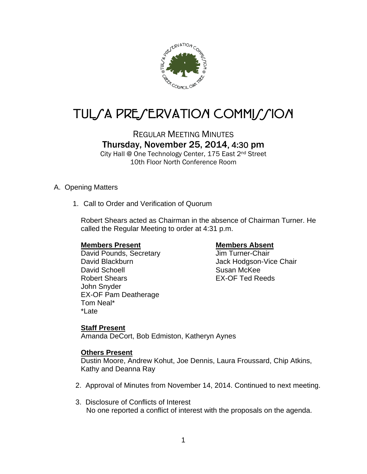

# TUL*SA PRESERVATION COMMISSION*

# REGULAR MEETING MINUTES Thursday, November 25, 2014, 4:30 pm

City Hall @ One Technology Center, 175 East 2nd Street 10th Floor North Conference Room

# A. Opening Matters

1. Call to Order and Verification of Quorum

Robert Shears acted as Chairman in the absence of Chairman Turner. He called the Regular Meeting to order at 4:31 p.m.

# **Members Present Members Absent**

David Pounds, Secretary **Jim Turner-Chair** David Blackburn **David Blackburn** Jack Hodgson-Vice Chair David Schoell **Susan McKee** Robert Shears EX-OF Ted Reeds John Snyder EX-OF Pam Deatherage Tom Neal\* \*Late

# **Staff Present**

Amanda DeCort, Bob Edmiston, Katheryn Aynes

# **Others Present**

Dustin Moore, Andrew Kohut, Joe Dennis, Laura Froussard, Chip Atkins, Kathy and Deanna Ray

- 2. Approval of Minutes from November 14, 2014. Continued to next meeting.
- 3. Disclosure of Conflicts of Interest No one reported a conflict of interest with the proposals on the agenda.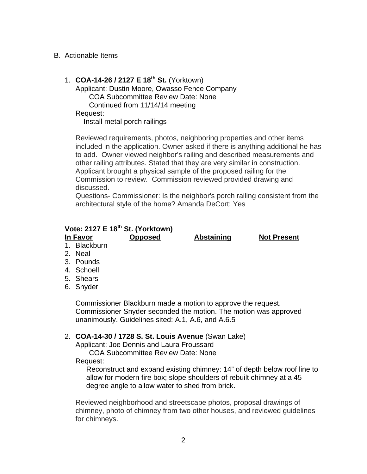# B. Actionable Items

# 1. **COA-14-26 / 2127 E 18th St.** (Yorktown)

Applicant: Dustin Moore, Owasso Fence Company COA Subcommittee Review Date: None Continued from 11/14/14 meeting Request:

Install metal porch railings

Reviewed requirements, photos, neighboring properties and other items included in the application. Owner asked if there is anything additional he has to add. Owner viewed neighbor's railing and described measurements and other railing attributes. Stated that they are very similar in construction. Applicant brought a physical sample of the proposed railing for the Commission to review. Commission reviewed provided drawing and discussed.

Questions- Commissioner: Is the neighbor's porch railing consistent from the architectural style of the home? Amanda DeCort: Yes

# **Vote: 2127 E 18th St. (Yorktown)**

**In Favor Opposed Abstaining Not Present** 

- 1. Blackburn
- 2. Neal
- 3. Pounds
- 4. Schoell
- 5. Shears
- 6. Snyder

Commissioner Blackburn made a motion to approve the request. Commissioner Snyder seconded the motion. The motion was approved unanimously. Guidelines sited: A.1, A.6, and A.6.5

# 2. **COA-14-30 / 1728 S. St. Louis Avenue** (Swan Lake)

Applicant: Joe Dennis and Laura Froussard

COA Subcommittee Review Date: None Request:

Reconstruct and expand existing chimney: 14" of depth below roof line to allow for modern fire box; slope shoulders of rebuilt chimney at a 45 degree angle to allow water to shed from brick.

Reviewed neighborhood and streetscape photos, proposal drawings of chimney, photo of chimney from two other houses, and reviewed guidelines for chimneys.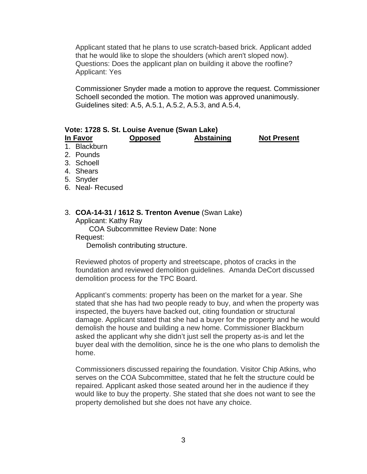Applicant stated that he plans to use scratch-based brick. Applicant added that he would like to slope the shoulders (which aren't sloped now). Questions: Does the applicant plan on building it above the roofline? Applicant: Yes

Commissioner Snyder made a motion to approve the request. Commissioner Schoell seconded the motion. The motion was approved unanimously. Guidelines sited: A.5, A.5.1, A.5.2, A.5.3, and A.5.4,

## **Vote: 1728 S. St. Louise Avenue (Swan Lake)**

**In Favor Opposed Abstaining Not Present** 

- 1. Blackburn
- 2. Pounds
- 3. Schoell
- 4. Shears
- 5. Snyder
- 6. Neal- Recused

#### 3. **COA-14-31 / 1612 S. Trenton Avenue** (Swan Lake) Applicant: Kathy Ray

COA Subcommittee Review Date: None

Request:

Demolish contributing structure.

Reviewed photos of property and streetscape, photos of cracks in the foundation and reviewed demolition guidelines. Amanda DeCort discussed demolition process for the TPC Board.

Applicant's comments: property has been on the market for a year. She stated that she has had two people ready to buy, and when the property was inspected, the buyers have backed out, citing foundation or structural damage. Applicant stated that she had a buyer for the property and he would demolish the house and building a new home. Commissioner Blackburn asked the applicant why she didn't just sell the property as-is and let the buyer deal with the demolition, since he is the one who plans to demolish the home.

Commissioners discussed repairing the foundation. Visitor Chip Atkins, who serves on the COA Subcommittee, stated that he felt the structure could be repaired. Applicant asked those seated around her in the audience if they would like to buy the property. She stated that she does not want to see the property demolished but she does not have any choice.